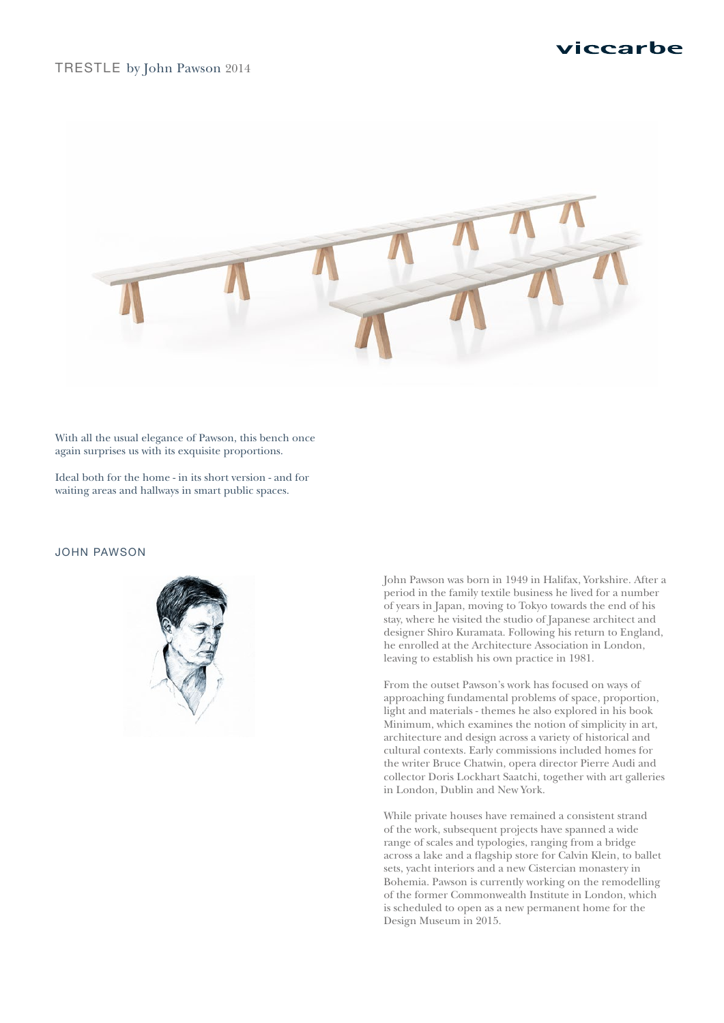## TRESTLE by John Pawson 2014



With all the usual elegance of Pawson, this bench once again surprises us with its exquisite proportions.

Ideal both for the home - in its short version - and for waiting areas and hallways in smart public spaces.

### JOHN PAWSON



John Pawson was born in 1949 in Halifax, Yorkshire. After a period in the family textile business he lived for a number of years in Japan, moving to Tokyo towards the end of his stay, where he visited the studio of Japanese architect and designer Shiro Kuramata. Following his return to England, he enrolled at the Architecture Association in London, leaving to establish his own practice in 1981.

From the outset Pawson's work has focused on ways of approaching fundamental problems of space, proportion, light and materials - themes he also explored in his book Minimum, which examines the notion of simplicity in art, architecture and design across a variety of historical and cultural contexts. Early commissions included homes for the writer Bruce Chatwin, opera director Pierre Audi and collector Doris Lockhart Saatchi, together with art galleries in London, Dublin and New York.

While private houses have remained a consistent strand of the work, subsequent projects have spanned a wide range of scales and typologies, ranging from a bridge across a lake and a flagship store for Calvin Klein, to ballet sets, yacht interiors and a new Cistercian monastery in Bohemia. Pawson is currently working on the remodelling of the former Commonwealth Institute in London, which is scheduled to open as a new permanent home for the Design Museum in 2015.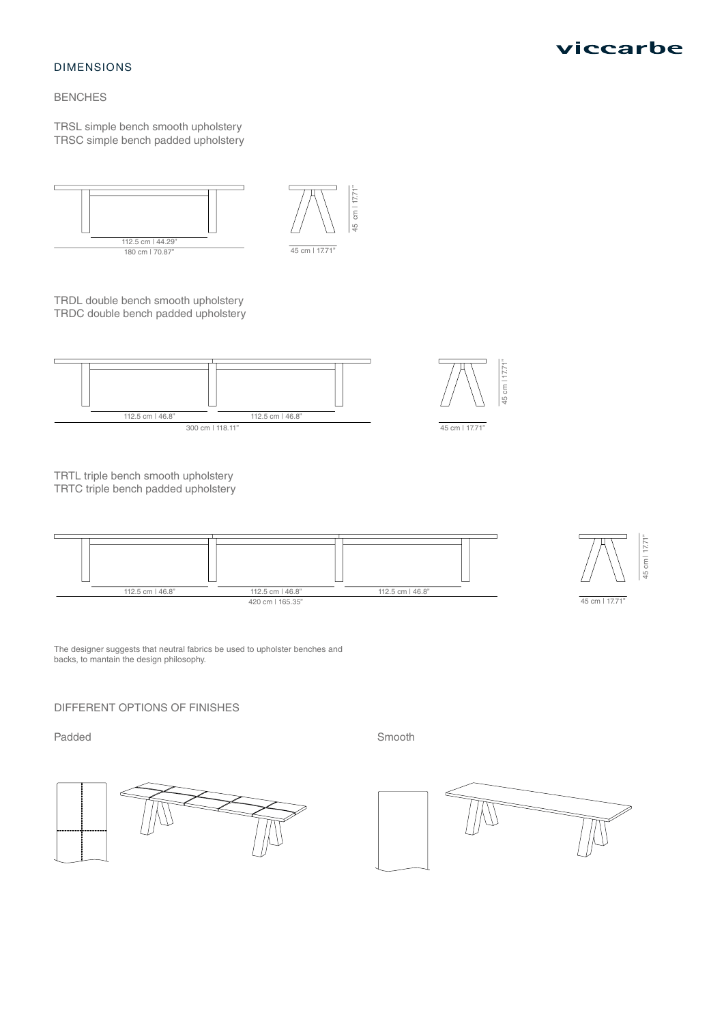#### DIMENSIONS

## BENCHES

TRSL simple bench smooth upholstery TRSC simple bench padded upholstery



TRDL double bench smooth upholstery TRDC double bench padded upholstery



TRTL triple bench smooth upholstery TRTC triple bench padded upholstery



The designer suggests that neutral fabrics be used to upholster benches and backs, to mantain the design philosophy.

## DIFFERENT OPTIONS OF FINISHES

Padded Smooth







45 cm | 17.71"

15 cm | 17.71

45 cm | 17.71"

 $-5$  cm  $|17.71$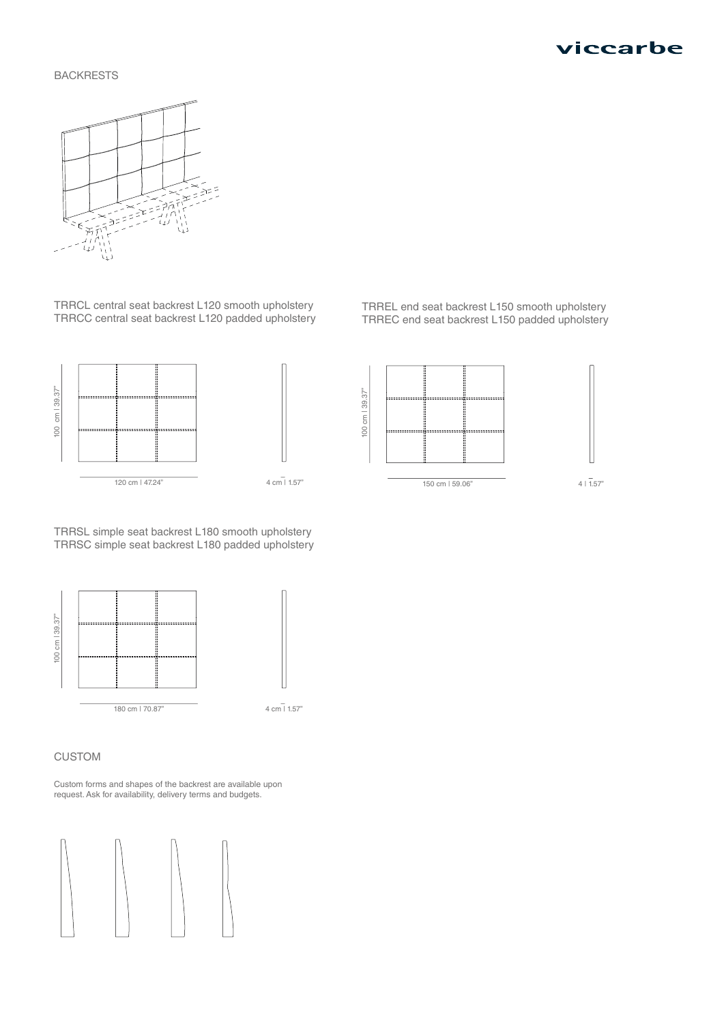

### BACKRESTS



TRRCL central seat backrest L120 smooth upholstery TRRCC central seat backrest L120 padded upholstery





TRRSL simple seat backrest L180 smooth upholstery TRRSC simple seat backrest L180 padded upholstery



4 cm $\bar{1}$  1.57"

CUSTOM

Custom forms and shapes of the backrest are available upon request. Ask for availability, delivery terms and budgets.





150 cm | 59.06"

 $4 | 1.57"$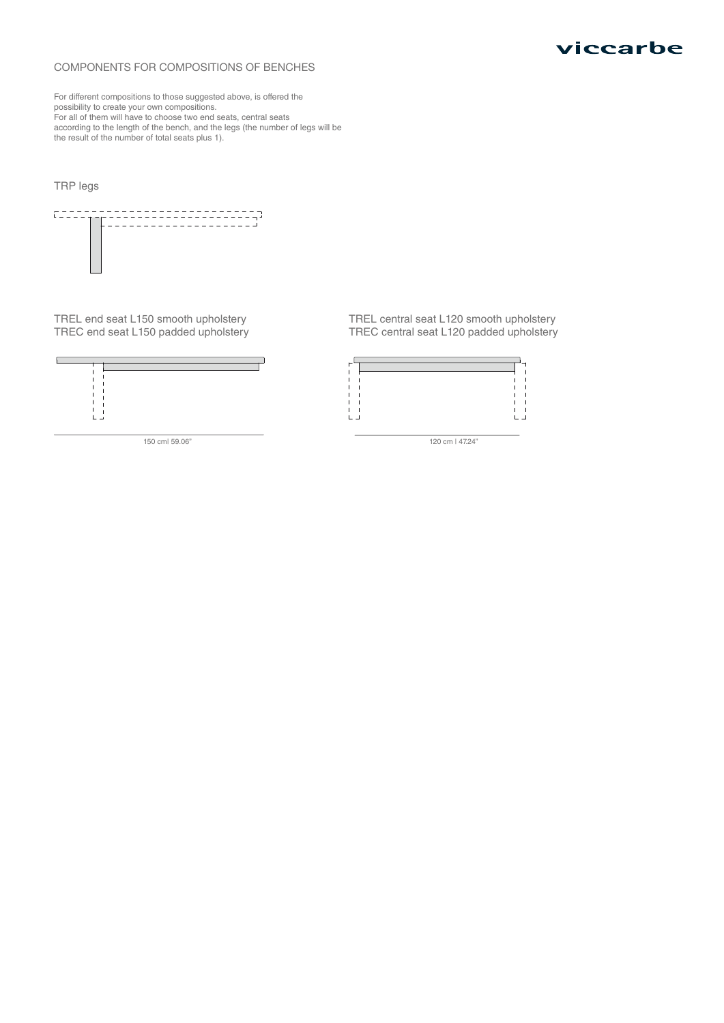#### COMPONENTS FOR COMPOSITIONS OF BENCHES

For different compositions to those suggested above, is offered the possibility to create your own compositions. For all of them will have to choose two end seats, central seats according to the length of the bench, and the legs (the number of legs will be the result of the number of total seats plus 1).

## TRP legs



TREL end seat L150 smooth upholstery TREC end seat L150 padded upholstery



150 cm| 59.06"

TREL central seat L120 smooth upholstery TREC central seat L120 padded upholstery



120 cm | 47.24"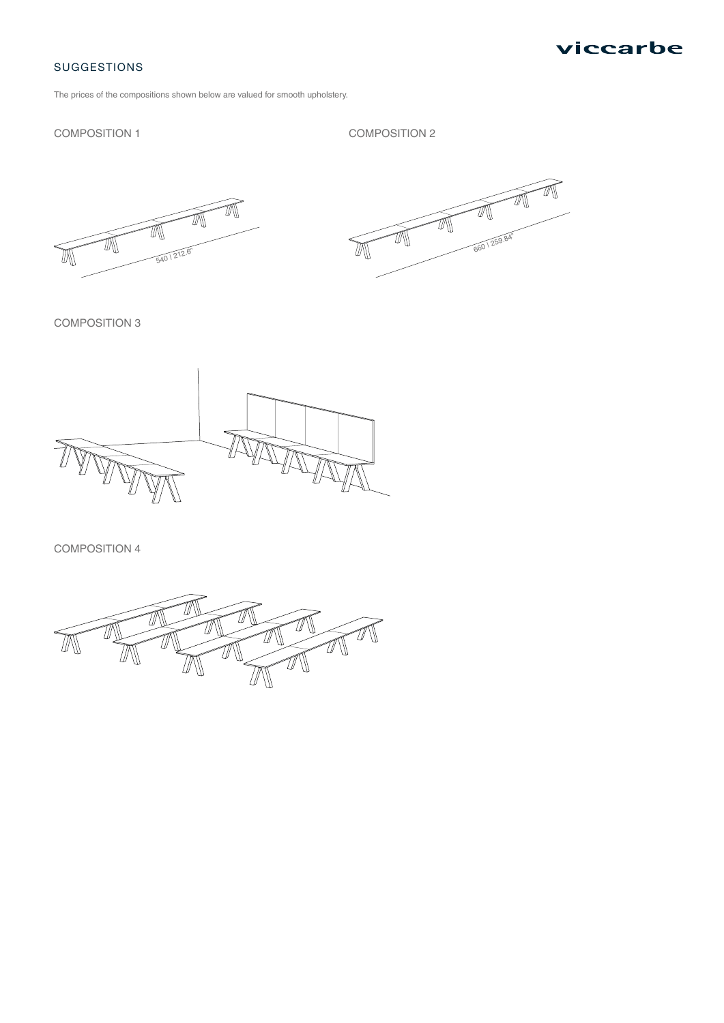

## SUGGESTIONS

The prices of the compositions shown below are valued for smooth upholstery.

### COMPOSITION 1

COMPOSITION 2





COMPOSITION 3



COMPOSITION 4

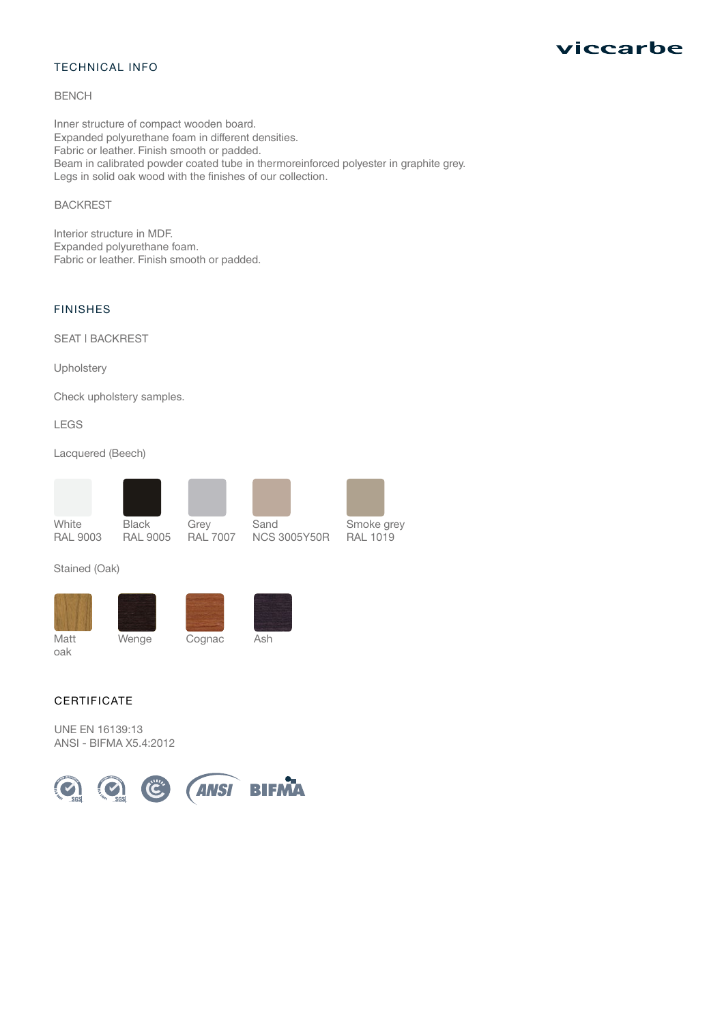## TECHNICAL INFO

#### BENCH

Inner structure of compact wooden board. Expanded polyurethane foam in different densities. Fabric or leather. Finish smooth or padded. Beam in calibrated powder coated tube in thermoreinforced polyester in graphite grey. Legs in solid oak wood with the finishes of our collection.

## BACKREST

Interior structure in MDF. Expanded polyurethane foam. Fabric or leather. Finish smooth or padded.

## FINISHES

SEAT | BACKREST

Upholstery

Check upholstery samples.

LEGS

Lacquered (Beech)



Black RAL 9005 Grey RAL 7007

Sand NCS 3005Y50R



RAL 1019

## Stained (Oak)







Matt oak

Wenge Cognac Ash



UNE EN 16139:13 ANSI - BIFMA X5.4:2012